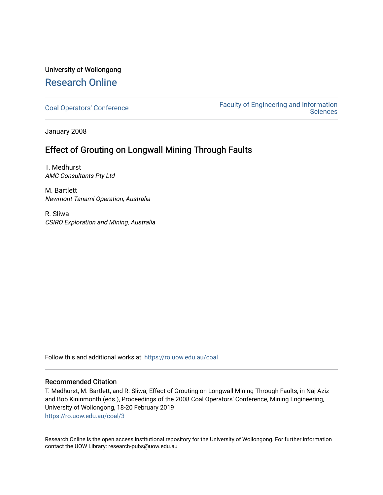## University of Wollongong [Research Online](https://ro.uow.edu.au/)

[Coal Operators' Conference](https://ro.uow.edu.au/coal) [Faculty of Engineering and Information](https://ro.uow.edu.au/eis)  **Sciences** 

January 2008

### Effect of Grouting on Longwall Mining Through Faults

T. Medhurst AMC Consultants Pty Ltd

M. Bartlett Newmont Tanami Operation, Australia

R. Sliwa CSIRO Exploration and Mining, Australia

Follow this and additional works at: [https://ro.uow.edu.au/coal](https://ro.uow.edu.au/coal?utm_source=ro.uow.edu.au%2Fcoal%2F3&utm_medium=PDF&utm_campaign=PDFCoverPages) 

#### Recommended Citation

T. Medhurst, M. Bartlett, and R. Sliwa, Effect of Grouting on Longwall Mining Through Faults, in Naj Aziz and Bob Kininmonth (eds.), Proceedings of the 2008 Coal Operators' Conference, Mining Engineering, University of Wollongong, 18-20 February 2019 [https://ro.uow.edu.au/coal/3](https://ro.uow.edu.au/coal/3?utm_source=ro.uow.edu.au%2Fcoal%2F3&utm_medium=PDF&utm_campaign=PDFCoverPages)

Research Online is the open access institutional repository for the University of Wollongong. For further information contact the UOW Library: research-pubs@uow.edu.au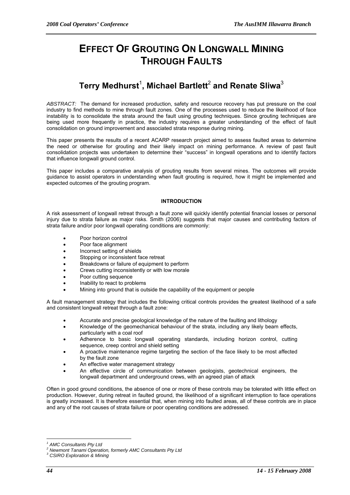# **EFFECT OF GROUTING ON LONGWALL MINING THROUGH FAULTS**

# **Terry Medhurst**<sup>1</sup> **, Michael Bartlett**<sup>2</sup>  **and Renate Sliwa**<sup>3</sup>

*ABSTRACT:*The demand for increased production, safety and resource recovery has put pressure on the coal industry to find methods to mine through fault zones. One of the processes used to reduce the likelihood of face instability is to consolidate the strata around the fault using grouting techniques. Since grouting techniques are being used more frequently in practice, the industry requires a greater understanding of the effect of fault consolidation on ground improvement and associated strata response during mining.

This paper presents the results of a recent ACARP research project aimed to assess faulted areas to determine the need or otherwise for grouting and their likely impact on mining performance. A review of past fault consolidation projects was undertaken to determine their "success" in longwall operations and to identify factors that influence longwall ground control.

This paper includes a comparative analysis of grouting results from several mines. The outcomes will provide guidance to assist operators in understanding when fault grouting is required, how it might be implemented and expected outcomes of the grouting program.

#### **INTRODUCTION**

A risk assessment of longwall retreat through a fault zone will quickly identify potential financial losses or personal injury due to strata failure as major risks. Smith (2006) suggests that major causes and contributing factors of strata failure and/or poor longwall operating conditions are commonly:

- Poor horizon control
- Poor face alignment
- Incorrect setting of shields
- Stopping or inconsistent face retreat
- Breakdowns or failure of equipment to perform
- Crews cutting inconsistently or with low morale
- Poor cutting sequence
- Inability to react to problems
- Mining into ground that is outside the capability of the equipment or people

A fault management strategy that includes the following critical controls provides the greatest likelihood of a safe and consistent longwall retreat through a fault zone:

- Accurate and precise geological knowledge of the nature of the faulting and lithology
- Knowledge of the geomechanical behaviour of the strata, including any likely beam effects, particularly with a coal roof
- Adherence to basic longwall operating standards, including horizon control, cutting sequence, creep control and shield setting
- A proactive maintenance regime targeting the section of the face likely to be most affected by the fault zone
- An effective water management strategy
- An effective circle of communication between geologists, geotechnical engineers, the longwall department and underground crews, with an agreed plan of attack

Often in good ground conditions, the absence of one or more of these controls may be tolerated with little effect on production. However, during retreat in faulted ground, the likelihood of a significant interruption to face operations is greatly increased. It is therefore essential that, when mining into faulted areas, all of these controls are in place and any of the root causes of strata failure or poor operating conditions are addressed.

 $\overline{a}$ *1 AMC Consultants Pty Ltd* 

<sup>&</sup>lt;sup>2</sup> Newmont Tanami Operation, formerly AMC Consultants Pty Ltd

*<sup>3</sup> CSIRO Exploration & Mining*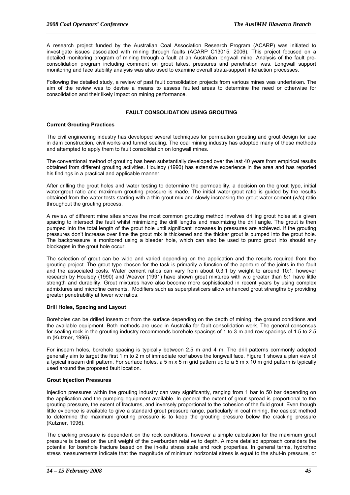A research project funded by the Australian Coal Association Research Program (ACARP) was initiated to investigate issues associated with mining through faults (ACARP C13015, 2006). This project focused on a detailed monitoring program of mining through a fault at an Australian longwall mine. Analysis of the fault preconsolidation program including comment on grout takes, pressures and penetration was. Longwall support monitoring and face stability analysis was also used to examine overall strata-support interaction processes.

Following the detailed study, a review of past fault consolidation projects from various mines was undertaken. The aim of the review was to devise a means to assess faulted areas to determine the need or otherwise for consolidation and their likely impact on mining performance.

#### **FAULT CONSOLIDATION USING GROUTING**

#### **Current Grouting Practices**

The civil engineering industry has developed several techniques for permeation grouting and grout design for use in dam construction, civil works and tunnel sealing. The coal mining industry has adopted many of these methods and attempted to apply them to fault consolidation on longwall mines.

The conventional method of grouting has been substantially developed over the last 40 years from empirical results obtained from different grouting activities. Houlsby (1990) has extensive experience in the area and has reported his findings in a practical and applicable manner.

After drilling the grout holes and water testing to determine the permeability, a decision on the grout type, initial water:grout ratio and maximum grouting pressure is made. The initial water:grout ratio is guided by the results obtained from the water tests starting with a thin grout mix and slowly increasing the grout water cement (w/c) ratio throughout the grouting process.

A review of different mine sites shows the most common grouting method involves drilling grout holes at a given spacing to intersect the fault whilst minimizing the drill lengths and maximizing the drill angle. The grout is then pumped into the total length of the grout hole until significant increases in pressures are achieved. If the grouting pressures don't increase over time the grout mix is thickened and the thicker grout is pumped into the grout hole. The backpressure is monitored using a bleeder hole, which can also be used to pump grout into should any blockages in the grout hole occur.

The selection of grout can be wide and varied depending on the application and the results required from the grouting project. The grout type chosen for the task is primarily a function of the aperture of the joints in the fault and the associated costs. Water cement ratios can vary from about 0.3:1 by weight to around 10:1, however research by Houlsby (1990) and Weaver (1991) have shown grout mixtures with w:c greater than 5:1 have little strength and durability. Grout mixtures have also become more sophisticated in recent years by using complex admixtures and microfine cements. Modifiers such as superplasticers allow enhanced grout strengths by providing greater penetrability at lower w:c ratios.

#### **Drill Holes, Spacing and Layout**

Boreholes can be drilled inseam or from the surface depending on the depth of mining, the ground conditions and the available equipment. Both methods are used in Australia for fault consolidation work. The general consensus for sealing rock in the grouting industry recommends borehole spacings of 1 to 3 m and row spacings of 1.5 to 2.5 m (Kutzner, 1996).

For inseam holes, borehole spacing is typically between 2.5 m and 4 m. The drill patterns commonly adopted generally aim to target the first 1 m to 2 m of immediate roof above the longwall face. Figure 1 shows a plan view of a typical inseam drill pattern. For surface holes, a 5 m x 5 m grid pattern up to a 5 m x 10 m grid pattern is typically used around the proposed fault location.

#### **Grout Injection Pressures**

Injection pressures within the grouting industry can vary significantly, ranging from 1 bar to 50 bar depending on the application and the pumping equipment available. In general the extent of grout spread is proportional to the grouting pressure, the extent of fractures, and inversely proportional to the cohesion of the fluid grout. Even though little evidence is available to give a standard grout pressure range, particularly in coal mining, the easiest method to determine the maximum grouting pressure is to keep the grouting pressure below the cracking pressure (Kutzner, 1996).

The cracking pressure is dependent on the rock conditions, however a simple calculation for the maximum grout pressure is based on the unit weight of the overburden relative to depth. A more detailed approach considers the potential for borehole fracture based on the in-situ stress state and rock properties. In general terms, hydrofrac stress measurements indicate that the magnitude of minimum horizontal stress is equal to the shut-in pressure, or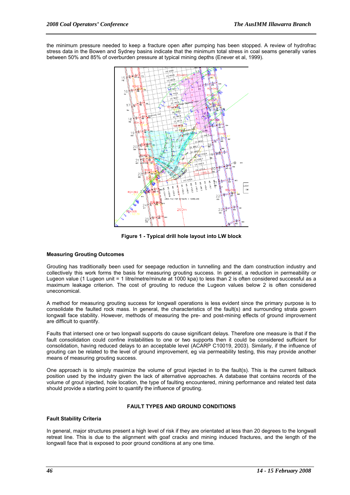the minimum pressure needed to keep a fracture open after pumping has been stopped. A review of hydrofrac stress data in the Bowen and Sydney basins indicate that the minimum total stress in coal seams generally varies between 50% and 85% of overburden pressure at typical mining depths (Enever et al, 1999).



**Figure 1 - Typical drill hole layout into LW block** 

#### **Measuring Grouting Outcomes**

Grouting has traditionally been used for seepage reduction in tunnelling and the dam construction industry and collectively this work forms the basis for measuring grouting success. In general, a reduction in permeability or Lugeon value (1 Lugeon unit = 1 litre/metre/minute at 1000 kpa) to less than 2 is often considered successful as a maximum leakage criterion. The cost of grouting to reduce the Lugeon values below 2 is often considered uneconomical.

A method for measuring grouting success for longwall operations is less evident since the primary purpose is to consolidate the faulted rock mass. In general, the characteristics of the fault(s) and surrounding strata govern longwall face stability. However, methods of measuring the pre- and post-mining effects of ground improvement are difficult to quantify.

Faults that intersect one or two longwall supports do cause significant delays. Therefore one measure is that if the fault consolidation could confine instabilities to one or two supports then it could be considered sufficient for consolidation, having reduced delays to an acceptable level (ACARP C10019, 2003). Similarly, if the influence of grouting can be related to the level of ground improvement, eg via permeability testing, this may provide another means of measuring grouting success.

One approach is to simply maximize the volume of grout injected in to the fault(s). This is the current fallback position used by the industry given the lack of alternative approaches. A database that contains records of the volume of grout injected, hole location, the type of faulting encountered, mining performance and related test data should provide a starting point to quantify the influence of grouting.

#### **FAULT TYPES AND GROUND CONDITIONS**

#### **Fault Stability Criteria**

In general, major structures present a high level of risk if they are orientated at less than 20 degrees to the longwall retreat line. This is due to the alignment with goaf cracks and mining induced fractures, and the length of the longwall face that is exposed to poor ground conditions at any one time.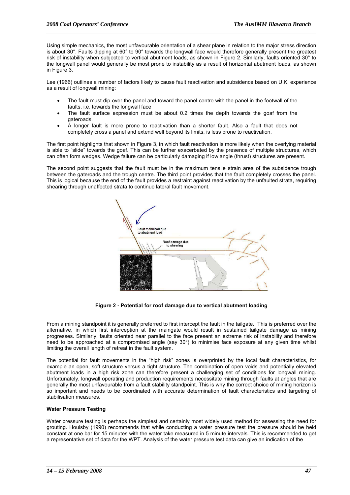Using simple mechanics, the most unfavourable orientation of a shear plane in relation to the major stress direction is about 30°. Faults dipping at 60° to 90° towards the longwall face would therefore generally present the greatest risk of instability when subjected to vertical abutment loads, as shown in Figure 2. Similarly, faults oriented 30° to the longwall panel would generally be most prone to instability as a result of horizontal abutment loads, as shown in Figure 3.

Lee (1966) outlines a number of factors likely to cause fault reactivation and subsidence based on U.K. experience as a result of longwall mining:

- The fault must dip over the panel and toward the panel centre with the panel in the footwall of the faults, i.e. towards the longwall face
- The fault surface expression must be about 0.2 times the depth towards the goaf from the gateroads.
- A longer fault is more prone to reactivation than a shorter fault. Also a fault that does not completely cross a panel and extend well beyond its limits, is less prone to reactivation.

The first point highlights that shown in Figure 3, in which fault reactivation is more likely when the overlying material is able to "slide" towards the goaf. This can be further exacerbated by the presence of multiple structures, which can often form wedges. Wedge failure can be particularly damaging if low angle (thrust) structures are present.

The second point suggests that the fault must be in the maximum tensile strain area of the subsidence trough between the gateroads and the trough centre. The third point provides that the fault completely crosses the panel. This is logical because the end of the fault provides a restraint against reactivation by the unfaulted strata, requiring shearing through unaffected strata to continue lateral fault movement.



**Figure 2 - Potential for roof damage due to vertical abutment loading** 

From a mining standpoint it is generally preferred to first intercept the fault in the tailgate. This is preferred over the alternative, in which first interception at the maingate would result in sustained tailgate damage as mining progresses. Similarly, faults oriented near parallel to the face present an extreme risk of instability and therefore need to be approached at a compromised angle (say 30°) to minimise face exposure at any given time whilst limiting the overall length of retreat in the fault system.

The potential for fault movements in the "high risk" zones is overprinted by the local fault characteristics, for example an open, soft structure versus a tight structure. The combination of open voids and potentially elevated abutment loads in a high risk zone can therefore present a challenging set of conditions for longwall mining. Unfortunately, longwall operating and production requirements necessitate mining through faults at angles that are generally the most unfavourable from a fault stability standpoint. This is why the correct choice of mining horizon is so important and needs to be coordinated with accurate determination of fault characteristics and targeting of stabilisation measures.

#### **Water Pressure Testing**

Water pressure testing is perhaps the simplest and certainly most widely used method for assessing the need for grouting. Houlsby (1990) recommends that while conducting a water pressure test the pressure should be held constant at one bar for 15 minutes with the water take measured in 5 minute intervals. This is recommended to get a representative set of data for the WPT. Analysis of the water pressure test data can give an indication of the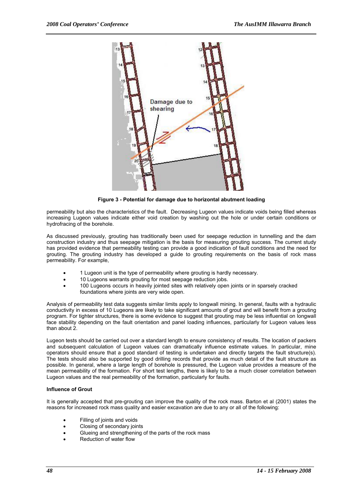

**Figure 3 - Potential for damage due to horizontal abutment loading** 

permeability but also the characteristics of the fault. Decreasing Lugeon values indicate voids being filled whereas increasing Lugeon values indicate either void creation by washing out the hole or under certain conditions or hydrofracing of the borehole.

As discussed previously, grouting has traditionally been used for seepage reduction in tunnelling and the dam construction industry and thus seepage mitigation is the basis for measuring grouting success. The current study has provided evidence that permeability testing can provide a good indication of fault conditions and the need for grouting. The grouting industry has developed a guide to grouting requirements on the basis of rock mass permeability. For example,

- 1 Lugeon unit is the type of permeability where grouting is hardly necessary.
- 10 Lugeons warrants grouting for most seepage reduction jobs.
- 100 Lugeons occurs in heavily jointed sites with relatively open joints or in sparsely cracked foundations where joints are very wide open.

Analysis of permeability test data suggests similar limits apply to longwall mining. In general, faults with a hydraulic conductivity in excess of 10 Lugeons are likely to take significant amounts of grout and will benefit from a grouting program. For tighter structures, there is some evidence to suggest that grouting may be less influential on longwall face stability depending on the fault orientation and panel loading influences, particularly for Lugeon values less than about 2.

Lugeon tests should be carried out over a standard length to ensure consistency of results. The location of packers and subsequent calculation of Lugeon values can dramatically influence estimate values. In particular, mine operators should ensure that a good standard of testing is undertaken and directly targets the fault structure(s). The tests should also be supported by good drilling records that provide as much detail of the fault structure as possible. In general, where a large length of borehole is pressured, the Lugeon value provides a measure of the mean permeability of the formation. For short test lengths, there is likely to be a much closer correlation between Lugeon values and the real permeability of the formation, particularly for faults.

#### **Influence of Grout**

It is generally accepted that pre-grouting can improve the quality of the rock mass. Barton et al (2001) states the reasons for increased rock mass quality and easier excavation are due to any or all of the following:

- Filling of joints and voids
- Closing of secondary joints
- Glueing and strengthening of the parts of the rock mass
- Reduction of water flow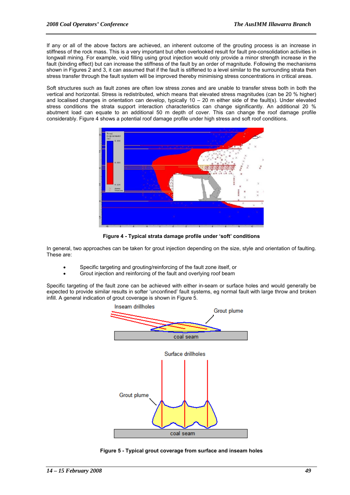If any or all of the above factors are achieved, an inherent outcome of the grouting process is an increase in stiffness of the rock mass. This is a very important but often overlooked result for fault pre-consolidation activities in longwall mining. For example, void filling using grout injection would only provide a minor strength increase in the fault (binding effect) but can increase the stiffness of the fault by an order of magnitude. Following the mechanisms shown in Figures 2 and 3, it can assumed that if the fault is stiffened to a level similar to the surrounding strata then stress transfer through the fault system will be improved thereby minimising stress concentrations in critical areas.

Soft structures such as fault zones are often low stress zones and are unable to transfer stress both in both the vertical and horizontal. Stress is redistributed, which means that elevated stress magnitudes (can be 20 % higher) and localised changes in orientation can develop, typically  $10 - 20$  m either side of the fault(s). Under elevated stress conditions the strata support interaction characteristics can change significantly. An additional 20 % abutment load can equate to an additional 50 m depth of cover. This can change the roof damage profile considerably. Figure 4 shows a potential roof damage profile under high stress and soft roof conditions.



**Figure 4 - Typical strata damage profile under 'soft' conditions** 

In general, two approaches can be taken for grout injection depending on the size, style and orientation of faulting. These are:

- Specific targeting and grouting/reinforcing of the fault zone itself, or
- Grout injection and reinforcing of the fault and overlying roof beam

Specific targeting of the fault zone can be achieved with either in-seam or surface holes and would generally be expected to provide similar results in softer 'unconfined' fault systems, eg normal fault with large throw and broken infill. A general indication of grout coverage is shown in Figure 5.



**Figure 5 - Typical grout coverage from surface and inseam holes**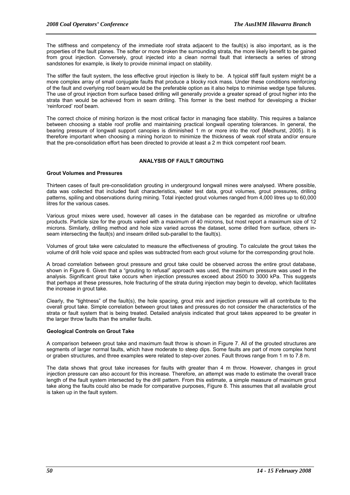The stiffness and competency of the immediate roof strata adjacent to the fault(s) is also important, as is the properties of the fault planes. The softer or more broken the surrounding strata, the more likely benefit to be gained from grout injection. Conversely, grout injected into a clean normal fault that intersects a series of strong sandstones for example, is likely to provide minimal impact on stability.

The stiffer the fault system, the less effective grout injection is likely to be. A typical stiff fault system might be a more complex array of small conjugate faults that produce a blocky rock mass. Under these conditions reinforcing of the fault and overlying roof beam would be the preferable option as it also helps to minimise wedge type failures. The use of grout injection from surface based drilling will generally provide a greater spread of grout higher into the strata than would be achieved from in seam drilling. This former is the best method for developing a thicker 'reinforced' roof beam.

The correct choice of mining horizon is the most critical factor in managing face stability. This requires a balance between choosing a stable roof profile and maintaining practical longwall operating tolerances. In general, the bearing pressure of longwall support canopies is diminished 1 m or more into the roof (Medhurst, 2005). It is therefore important when choosing a mining horizon to minimize the thickness of weak roof strata and/or ensure that the pre-consolidation effort has been directed to provide at least a 2 m thick competent roof beam.

#### **ANALYSIS OF FAULT GROUTING**

#### **Grout Volumes and Pressures**

Thirteen cases of fault pre-consolidation grouting in underground longwall mines were analysed. Where possible, data was collected that included fault characteristics, water test data, grout volumes, grout pressures, drilling patterns, spiling and observations during mining. Total injected grout volumes ranged from 4,000 litres up to 60,000 litres for the various cases.

Various grout mixes were used, however all cases in the database can be regarded as microfine or ultrafine products. Particle size for the grouts varied with a maximum of 40 microns, but most report a maximum size of 12 microns. Similarly, drilling method and hole size varied across the dataset, some drilled from surface, others inseam intersecting the fault(s) and inseam drilled sub-parallel to the fault(s).

Volumes of grout take were calculated to measure the effectiveness of grouting. To calculate the grout takes the volume of drill hole void space and spiles was subtracted from each grout volume for the corresponding grout hole.

A broad correlation between grout pressure and grout take could be observed across the entire grout database, shown in Figure 6. Given that a "grouting to refusal" approach was used, the maximum pressure was used in the analysis. Significant grout take occurs when injection pressures exceed about 2500 to 3000 kPa. This suggests that perhaps at these pressures, hole fracturing of the strata during injection may begin to develop, which facilitates the increase in grout take.

Clearly, the "tightness" of the fault(s), the hole spacing, grout mix and injection pressure will all contribute to the overall grout take. Simple correlation between grout takes and pressures do not consider the characteristics of the strata or fault system that is being treated. Detailed analysis indicated that grout takes appeared to be greater in the larger throw faults than the smaller faults.

#### **Geological Controls on Grout Take**

A comparison between grout take and maximum fault throw is shown in Figure 7. All of the grouted structures are segments of larger normal faults, which have moderate to steep dips. Some faults are part of more complex horst or graben structures, and three examples were related to step-over zones. Fault throws range from 1 m to 7.8 m.

The data shows that grout take increases for faults with greater than 4 m throw. However, changes in grout injection pressure can also account for this increase. Therefore, an attempt was made to estimate the overall trace length of the fault system intersected by the drill pattern. From this estimate, a simple measure of maximum grout take along the faults could also be made for comparative purposes, Figure 8. This assumes that all available grout is taken up in the fault system.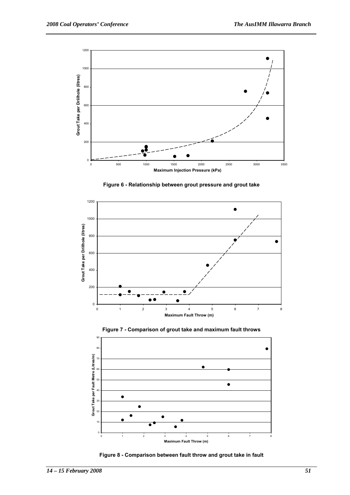







**Figure 7 - Comparison of grout take and maximum fault throws** 

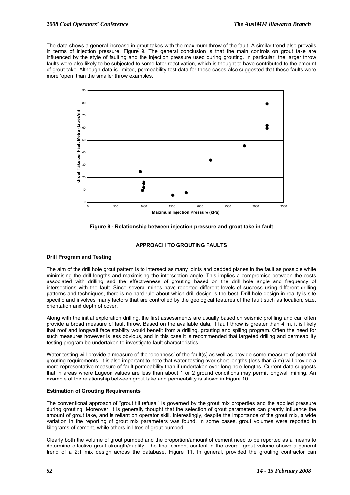The data shows a general increase in grout takes with the maximum throw of the fault. A similar trend also prevails in terms of injection pressure, Figure 9. The general conclusion is that the main controls on grout take are influenced by the style of faulting and the injection pressure used during grouting. In particular, the larger throw faults were also likely to be subjected to some later reactivation, which is thought to have contributed to the amount of grout take. Although data is limited, permeability test data for these cases also suggested that these faults were more 'open' than the smaller throw examples.



**Figure 9 - Relationship between injection pressure and grout take in fault** 

#### **APPROACH TO GROUTING FAULTS**

#### **Drill Program and Testing**

The aim of the drill hole grout pattern is to intersect as many joints and bedded planes in the fault as possible while minimising the drill lengths and maximising the intersection angle. This implies a compromise between the costs associated with drilling and the effectiveness of grouting based on the drill hole angle and frequency of intersections with the fault. Since several mines have reported different levels of success using different drilling patterns and techniques, there is no hard rule about which drill design is the best. Drill hole design in reality is site specific and involves many factors that are controlled by the geological features of the fault such as location, size, orientation and depth of cover.

Along with the initial exploration drilling, the first assessments are usually based on seismic profiling and can often provide a broad measure of fault throw. Based on the available data, if fault throw is greater than 4 m, it is likely that roof and longwall face stability would benefit from a drilling, grouting and spiling program. Often the need for such measures however is less obvious, and in this case it is recommended that targeted drilling and permeability testing program be undertaken to investigate fault characteristics.

Water testing will provide a measure of the 'openness' of the fault(s) as well as provide some measure of potential grouting requirements. It is also important to note that water testing over short lengths (less than 5 m) will provide a more representative measure of fault permeability than if undertaken over long hole lengths. Current data suggests that in areas where Lugeon values are less than about 1 or 2 ground conditions may permit longwall mining. An example of the relationship between grout take and permeability is shown in Figure 10.

#### **Estimation of Grouting Requirements**

The conventional approach of "grout till refusal" is governed by the grout mix properties and the applied pressure during grouting. Moreover, it is generally thought that the selection of grout parameters can greatly influence the amount of grout take, and is reliant on operator skill. Interestingly, despite the importance of the grout mix, a wide variation in the reporting of grout mix parameters was found. In some cases, grout volumes were reported in kilograms of cement, while others in litres of grout pumped.

Clearly both the volume of grout pumped and the proportion/amount of cement need to be reported as a means to determine effective grout strength/quality. The final cement content in the overall grout volume shows a general trend of a 2:1 mix design across the database, Figure 11. In general, provided the grouting contractor can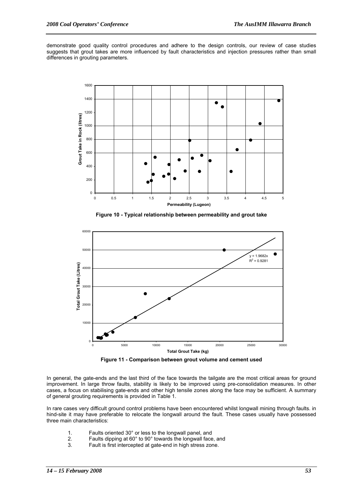demonstrate good quality control procedures and adhere to the design controls, our review of case studies suggests that grout takes are more influenced by fault characteristics and injection pressures rather than small differences in grouting parameters.



**Figure 10 - Typical relationship between permeability and grout take** 



**Figure 11 - Comparison between grout volume and cement used** 

In general, the gate-ends and the last third of the face towards the tailgate are the most critical areas for ground improvement. In large throw faults, stability is likely to be improved using pre-consolidation measures. In other cases, a focus on stabilising gate-ends and other high tensile zones along the face may be sufficient. A summary of general grouting requirements is provided in Table 1.

In rare cases very difficult ground control problems have been encountered whilst longwall mining through faults. in hind-site it may have preferable to relocate the longwall around the fault. These cases usually have possessed three main characteristics:

- 1. Faults oriented 30° or less to the longwall panel, and
- 2. Faults dipping at 60° to 90° towards the longwall face, and
- 3. Fault is first intercepted at gate-end in high stress zone.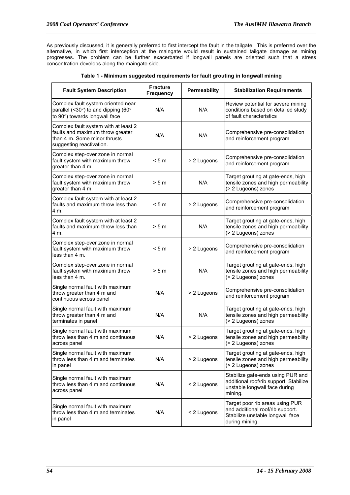As previously discussed, it is generally preferred to first intercept the fault in the tailgate. This is preferred over the alternative, in which first interception at the maingate would result in sustained tailgate damage as mining progresses. The problem can be further exacerbated if longwall panels are oriented such that a stress concentration develops along the maingate side.

| <b>Fault System Description</b>                                                                                                      | <b>Fracture</b><br><b>Frequency</b> | Permeability | <b>Stabilization Requirements</b>                                                                                         |  |  |
|--------------------------------------------------------------------------------------------------------------------------------------|-------------------------------------|--------------|---------------------------------------------------------------------------------------------------------------------------|--|--|
| Complex fault system oriented near<br>parallel (<30 $\degree$ ) to and dipping (60 $\degree$<br>to 90°) towards longwall face        | N/A                                 | N/A          | Review potential for severe mining<br>conditions based on detailed study<br>of fault characteristics                      |  |  |
| Complex fault system with at least 2<br>faults and maximum throw greater<br>than 4 m. Some minor thrusts<br>suggesting reactivation. | N/A                                 | N/A          | Comprehensive pre-consolidation<br>and reinforcement program                                                              |  |  |
| Complex step-over zone in normal<br>fault system with maximum throw<br>greater than 4 m.                                             | < 5m                                | > 2 Lugeons  | Comprehensive pre-consolidation<br>and reinforcement program                                                              |  |  |
| Complex step-over zone in normal<br>fault system with maximum throw<br>greater than 4 m.                                             | > 5 m                               | N/A          | Target grouting at gate-ends, high<br>tensile zones and high permeability<br>(> 2 Lugeons) zones                          |  |  |
| Complex fault system with at least 2<br>faults and maximum throw less than<br>4 m.                                                   | < 5m                                | > 2 Lugeons  | Comprehensive pre-consolidation<br>and reinforcement program                                                              |  |  |
| Complex fault system with at least 2<br>faults and maximum throw less than<br>4 m.                                                   | > 5 m                               | N/A          | Target grouting at gate-ends, high<br>tensile zones and high permeability<br>(> 2 Lugeons) zones                          |  |  |
| Complex step-over zone in normal<br>fault system with maximum throw<br>less than 4 m.                                                | < 5m                                | > 2 Lugeons  | Comprehensive pre-consolidation<br>and reinforcement program                                                              |  |  |
| Complex step-over zone in normal<br>fault system with maximum throw<br>less than 4 m.                                                | > 5 m                               | N/A          | Target grouting at gate-ends, high<br>tensile zones and high permeability<br>(> 2 Lugeons) zones                          |  |  |
| Single normal fault with maximum<br>throw greater than 4 m and<br>continuous across panel                                            | N/A                                 | > 2 Lugeons  | Comprehensive pre-consolidation<br>and reinforcement program                                                              |  |  |
| Single normal fault with maximum<br>throw greater than 4 m and<br>terminates in panel                                                | N/A                                 | N/A          | Target grouting at gate-ends, high<br>tensile zones and high permeability<br>(> 2 Lugeons) zones                          |  |  |
| Single normal fault with maximum<br>lthrow less than 4 m and continuous<br>across panel                                              | N/A                                 | > 2 Lugeons  | Target grouting at gate-ends, high<br>tensile zones and high permeability<br>(> 2 Lugeons) zones                          |  |  |
| Single normal fault with maximum<br>throw less than 4 m and terminates<br>in panel                                                   | N/A                                 | > 2 Lugeons  | Target grouting at gate-ends, high<br>tensile zones and high permeability<br>(> 2 Lugeons) zones                          |  |  |
| Single normal fault with maximum<br>throw less than 4 m and continuous<br>across panel                                               | N/A                                 | < 2 Lugeons  | Stabilize gate-ends using PUR and<br>additional roof/rib support. Stabilize<br>unstable longwall face during<br>mining.   |  |  |
| Single normal fault with maximum<br>throw less than 4 m and terminates<br>in panel                                                   | N/A                                 | < 2 Lugeons  | Target poor rib areas using PUR<br>and additional roof/rib support.<br>Stabilize unstable longwall face<br>during mining. |  |  |

|  | Table 1 - Minimum suggested requirements for fault grouting in longwall mining |  |  |
|--|--------------------------------------------------------------------------------|--|--|
|  |                                                                                |  |  |